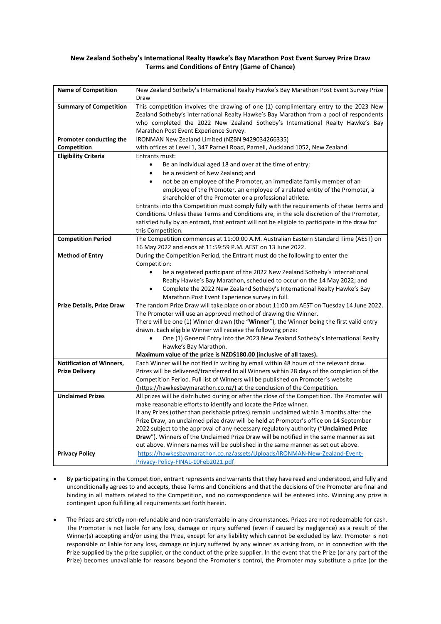## **New Zealand Sotheby's International Realty Hawke's Bay Marathon Post Event Survey Prize Draw Terms and Conditions of Entry (Game of Chance)**

| <b>Name of Competition</b>    | New Zealand Sotheby's International Realty Hawke's Bay Marathon Post Event Survey Prize         |
|-------------------------------|-------------------------------------------------------------------------------------------------|
|                               | Draw                                                                                            |
| <b>Summary of Competition</b> | This competition involves the drawing of one (1) complimentary entry to the 2023 New            |
|                               | Zealand Sotheby's International Realty Hawke's Bay Marathon from a pool of respondents          |
|                               | who completed the 2022 New Zealand Sotheby's International Realty Hawke's Bay                   |
|                               | Marathon Post Event Experience Survey.                                                          |
| Promoter conducting the       | IRONMAN New Zealand Limited (NZBN 9429034266335)                                                |
| Competition                   | with offices at Level 1, 347 Parnell Road, Parnell, Auckland 1052, New Zealand                  |
| <b>Eligibility Criteria</b>   | Entrants must:                                                                                  |
|                               | Be an individual aged 18 and over at the time of entry;<br>$\bullet$                            |
|                               | be a resident of New Zealand; and<br>$\bullet$                                                  |
|                               | not be an employee of the Promoter, an immediate family member of an                            |
|                               | employee of the Promoter, an employee of a related entity of the Promoter, a                    |
|                               | shareholder of the Promoter or a professional athlete.                                          |
|                               | Entrants into this Competition must comply fully with the requirements of these Terms and       |
|                               | Conditions. Unless these Terms and Conditions are, in the sole discretion of the Promoter,      |
|                               | satisfied fully by an entrant, that entrant will not be eligible to participate in the draw for |
|                               | this Competition.                                                                               |
| <b>Competition Period</b>     | The Competition commences at 11:00:00 A.M. Australian Eastern Standard Time (AEST) on           |
|                               | 16 May 2022 and ends at 11:59:59 P.M. AEST on 13 June 2022.                                     |
| <b>Method of Entry</b>        | During the Competition Period, the Entrant must do the following to enter the                   |
|                               | Competition:                                                                                    |
|                               | be a registered participant of the 2022 New Zealand Sotheby's International                     |
|                               | Realty Hawke's Bay Marathon, scheduled to occur on the 14 May 2022; and                         |
|                               | Complete the 2022 New Zealand Sotheby's International Realty Hawke's Bay                        |
|                               | Marathon Post Event Experience survey in full.                                                  |
| Prize Details, Prize Draw     | The random Prize Draw will take place on or about 11:00 am AEST on Tuesday 14 June 2022.        |
|                               | The Promoter will use an approved method of drawing the Winner.                                 |
|                               | There will be one (1) Winner drawn (the "Winner"), the Winner being the first valid entry       |
|                               | drawn. Each eligible Winner will receive the following prize:                                   |
|                               | One (1) General Entry into the 2023 New Zealand Sotheby's International Realty<br>$\bullet$     |
|                               | Hawke's Bay Marathon.                                                                           |
|                               | Maximum value of the prize is NZD\$180.00 (inclusive of all taxes).                             |
| Notification of Winners,      | Each Winner will be notified in writing by email within 48 hours of the relevant draw.          |
| <b>Prize Delivery</b>         | Prizes will be delivered/transferred to all Winners within 28 days of the completion of the     |
|                               | Competition Period. Full list of Winners will be published on Promoter's website                |
|                               | (https://hawkesbaymarathon.co.nz/) at the conclusion of the Competition.                        |
| <b>Unclaimed Prizes</b>       | All prizes will be distributed during or after the close of the Competition. The Promoter will  |
|                               | make reasonable efforts to identify and locate the Prize winner.                                |
|                               | If any Prizes (other than perishable prizes) remain unclaimed within 3 months after the         |
|                               | Prize Draw, an unclaimed prize draw will be held at Promoter's office on 14 September           |
|                               | 2022 subject to the approval of any necessary regulatory authority ("Unclaimed Prize            |
|                               | Draw"). Winners of the Unclaimed Prize Draw will be notified in the same manner as set          |
|                               | out above. Winners names will be published in the same manner as set out above.                 |
| <b>Privacy Policy</b>         | https://hawkesbaymarathon.co.nz/assets/Uploads/IRONMAN-New-Zealand-Event-                       |
|                               | Privacy-Policy-FINAL-10Feb2021.pdf                                                              |

- By participating in the Competition, entrant represents and warrants that they have read and understood, and fully and unconditionally agrees to and accepts, these Terms and Conditions and that the decisions of the Promoter are final and binding in all matters related to the Competition, and no correspondence will be entered into. Winning any prize is contingent upon fulfilling all requirements set forth herein.
- The Prizes are strictly non-refundable and non-transferrable in any circumstances. Prizes are not redeemable for cash. The Promoter is not liable for any loss, damage or injury suffered (even if caused by negligence) as a result of the Winner(s) accepting and/or using the Prize, except for any liability which cannot be excluded by law. Promoter is not responsible or liable for any loss, damage or injury suffered by any winner as arising from, or in connection with the Prize supplied by the prize supplier, or the conduct of the prize supplier. In the event that the Prize (or any part of the Prize) becomes unavailable for reasons beyond the Promoter's control, the Promoter may substitute a prize (or the